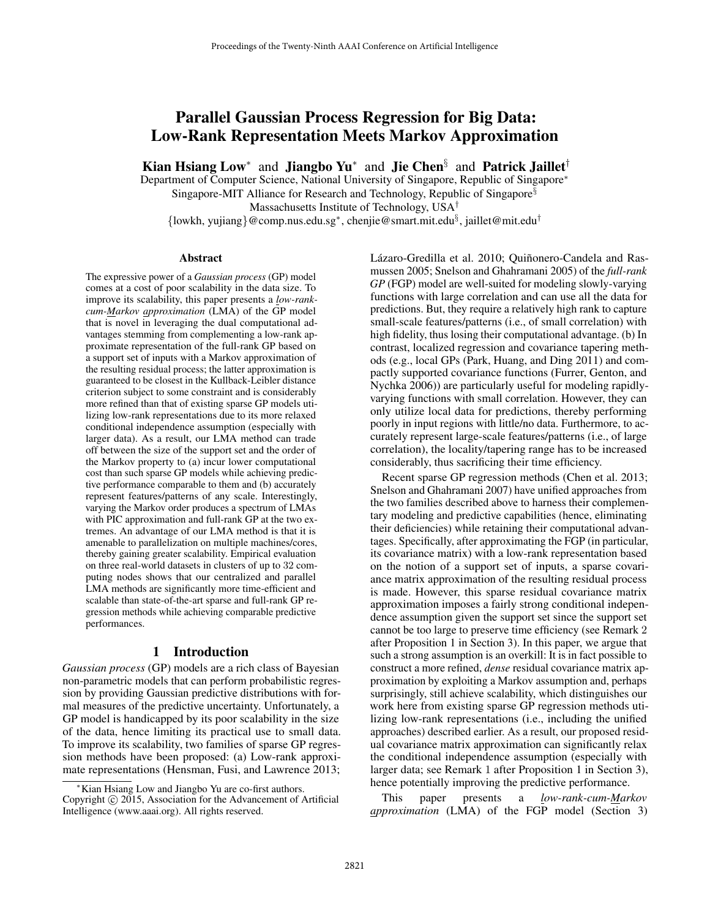# Parallel Gaussian Process Regression for Big Data: Low-Rank Representation Meets Markov Approximation

Kian Hsiang Low<sup>\*</sup> and Jiangbo Yu<sup>\*</sup> and Jie Chen<sup>§</sup> and Patrick Jaillet<sup>†</sup>

Department of Computer Science, National University of Singapore, Republic of Singapore<sup>∗</sup>

Singapore-MIT Alliance for Research and Technology, Republic of Singapore§

Massachusetts Institute of Technology, USA†

{lowkh, yujiang}@comp.nus.edu.sg<sup>∗</sup> , chenjie@smart.mit.edu§ , jaillet@mit.edu†

#### Abstract

The expressive power of a *Gaussian process* (GP) model comes at a cost of poor scalability in the data size. To improve its scalability, this paper presents a *low-rankcum-Markov approximation* (LMA) of the GP model that is novel in leveraging the dual computational advantages stemming from complementing a low-rank approximate representation of the full-rank GP based on a support set of inputs with a Markov approximation of the resulting residual process; the latter approximation is guaranteed to be closest in the Kullback-Leibler distance criterion subject to some constraint and is considerably more refined than that of existing sparse GP models utilizing low-rank representations due to its more relaxed conditional independence assumption (especially with larger data). As a result, our LMA method can trade off between the size of the support set and the order of the Markov property to (a) incur lower computational cost than such sparse GP models while achieving predictive performance comparable to them and (b) accurately represent features/patterns of any scale. Interestingly, varying the Markov order produces a spectrum of LMAs with PIC approximation and full-rank GP at the two extremes. An advantage of our LMA method is that it is amenable to parallelization on multiple machines/cores, thereby gaining greater scalability. Empirical evaluation on three real-world datasets in clusters of up to 32 computing nodes shows that our centralized and parallel LMA methods are significantly more time-efficient and scalable than state-of-the-art sparse and full-rank GP regression methods while achieving comparable predictive performances.

## 1 Introduction

*Gaussian process* (GP) models are a rich class of Bayesian non-parametric models that can perform probabilistic regression by providing Gaussian predictive distributions with formal measures of the predictive uncertainty. Unfortunately, a GP model is handicapped by its poor scalability in the size of the data, hence limiting its practical use to small data. To improve its scalability, two families of sparse GP regression methods have been proposed: (a) Low-rank approximate representations (Hensman, Fusi, and Lawrence 2013; Lázaro-Gredilla et al. 2010; Quiñonero-Candela and Rasmussen 2005; Snelson and Ghahramani 2005) of the *full-rank GP* (FGP) model are well-suited for modeling slowly-varying functions with large correlation and can use all the data for predictions. But, they require a relatively high rank to capture small-scale features/patterns (i.e., of small correlation) with high fidelity, thus losing their computational advantage. (b) In contrast, localized regression and covariance tapering methods (e.g., local GPs (Park, Huang, and Ding 2011) and compactly supported covariance functions (Furrer, Genton, and Nychka 2006)) are particularly useful for modeling rapidlyvarying functions with small correlation. However, they can only utilize local data for predictions, thereby performing poorly in input regions with little/no data. Furthermore, to accurately represent large-scale features/patterns (i.e., of large correlation), the locality/tapering range has to be increased considerably, thus sacrificing their time efficiency.

Recent sparse GP regression methods (Chen et al. 2013; Snelson and Ghahramani 2007) have unified approaches from the two families described above to harness their complementary modeling and predictive capabilities (hence, eliminating their deficiencies) while retaining their computational advantages. Specifically, after approximating the FGP (in particular, its covariance matrix) with a low-rank representation based on the notion of a support set of inputs, a sparse covariance matrix approximation of the resulting residual process is made. However, this sparse residual covariance matrix approximation imposes a fairly strong conditional independence assumption given the support set since the support set cannot be too large to preserve time efficiency (see Remark 2 after Proposition 1 in Section 3). In this paper, we argue that such a strong assumption is an overkill: It is in fact possible to construct a more refined, *dense* residual covariance matrix approximation by exploiting a Markov assumption and, perhaps surprisingly, still achieve scalability, which distinguishes our work here from existing sparse GP regression methods utilizing low-rank representations (i.e., including the unified approaches) described earlier. As a result, our proposed residual covariance matrix approximation can significantly relax the conditional independence assumption (especially with larger data; see Remark 1 after Proposition 1 in Section 3), hence potentially improving the predictive performance.

This paper presents a *low-rank-cum-Markov approximation* (LMA) of the FGP model (Section 3)

<sup>∗</sup>Kian Hsiang Low and Jiangbo Yu are co-first authors. Copyright © 2015, Association for the Advancement of Artificial Intelligence (www.aaai.org). All rights reserved.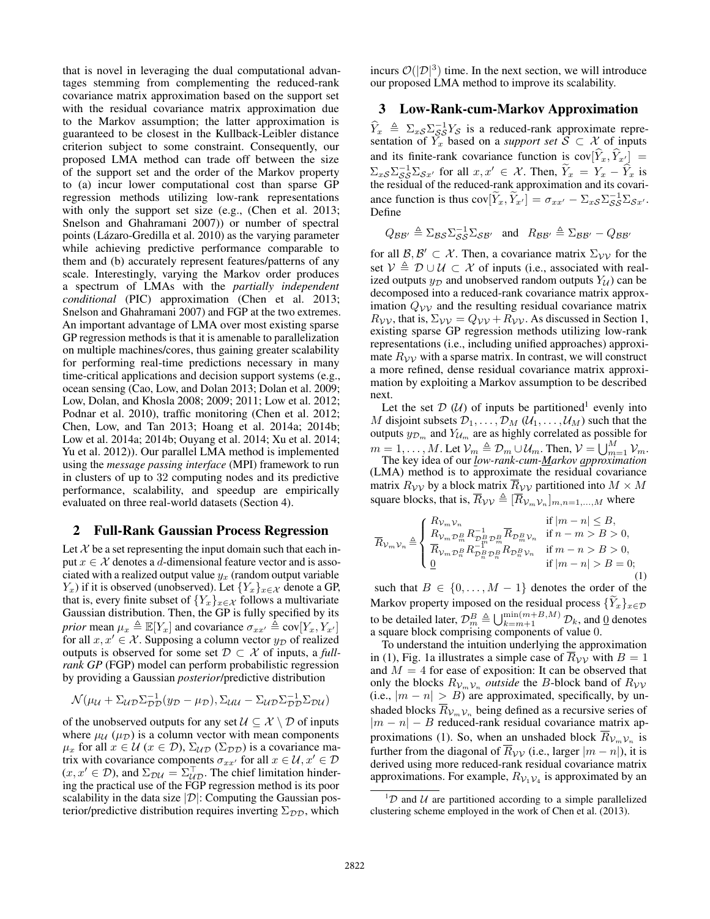that is novel in leveraging the dual computational advantages stemming from complementing the reduced-rank covariance matrix approximation based on the support set with the residual covariance matrix approximation due to the Markov assumption; the latter approximation is guaranteed to be closest in the Kullback-Leibler distance criterion subject to some constraint. Consequently, our proposed LMA method can trade off between the size of the support set and the order of the Markov property to (a) incur lower computational cost than sparse GP regression methods utilizing low-rank representations with only the support set size (e.g., (Chen et al. 2013; Snelson and Ghahramani 2007)) or number of spectral points (Lázaro-Gredilla et al. 2010) as the varying parameter while achieving predictive performance comparable to them and (b) accurately represent features/patterns of any scale. Interestingly, varying the Markov order produces a spectrum of LMAs with the *partially independent conditional* (PIC) approximation (Chen et al. 2013; Snelson and Ghahramani 2007) and FGP at the two extremes. An important advantage of LMA over most existing sparse GP regression methods is that it is amenable to parallelization on multiple machines/cores, thus gaining greater scalability for performing real-time predictions necessary in many time-critical applications and decision support systems (e.g., ocean sensing (Cao, Low, and Dolan 2013; Dolan et al. 2009; Low, Dolan, and Khosla 2008; 2009; 2011; Low et al. 2012; Podnar et al. 2010), traffic monitoring (Chen et al. 2012; Chen, Low, and Tan 2013; Hoang et al. 2014a; 2014b; Low et al. 2014a; 2014b; Ouyang et al. 2014; Xu et al. 2014; Yu et al. 2012)). Our parallel LMA method is implemented using the *message passing interface* (MPI) framework to run in clusters of up to 32 computing nodes and its predictive performance, scalability, and speedup are empirically evaluated on three real-world datasets (Section 4).

#### 2 Full-Rank Gaussian Process Regression

Let  $\mathcal X$  be a set representing the input domain such that each input  $x \in \mathcal{X}$  denotes a d-dimensional feature vector and is associated with a realized output value  $y_x$  (random output variable  $Y_x$ ) if it is observed (unobserved). Let  $\{Y_x\}_{x \in \mathcal{X}}$  denote a GP, that is, every finite subset of  ${Y_x}_{x \in \mathcal{X}}$  follows a multivariate Gaussian distribution. Then, the GP is fully specified by its *prior* mean  $\mu_x \triangleq \mathbb{E}[Y_x]$  and covariance  $\sigma_{xx'} \triangleq \text{cov}[Y_x, Y_{x'}]$ for all  $x, x' \in \mathcal{X}$ . Supposing a column vector  $y_{\mathcal{D}}$  of realized outputs is observed for some set  $\mathcal{D} \subset \mathcal{X}$  of inputs, a *fullrank GP* (FGP) model can perform probabilistic regression by providing a Gaussian *posterior*/predictive distribution

$$
\mathcal{N}(\mu_{\mathcal{U}} + \Sigma_{\mathcal{UD}} \Sigma_{\mathcal{DD}}^{-1} (y_{\mathcal{D}} - \mu_{\mathcal{D}}), \Sigma_{\mathcal{UU}} - \Sigma_{\mathcal{UD}} \Sigma_{\mathcal{DD}}^{-1} \Sigma_{\mathcal{DU}})
$$

of the unobserved outputs for any set  $\mathcal{U} \subseteq \mathcal{X} \setminus \mathcal{D}$  of inputs where  $\mu$ <sub>U</sub> ( $\mu$ <sub>D</sub>) is a column vector with mean components  $\mu_x$  for all  $x \in \mathcal{U}$   $(x \in \mathcal{D})$ ,  $\Sigma_{\mathcal{UD}}$   $(\Sigma_{\mathcal{DD}})$  is a covariance matrix with covariance components  $\sigma_{xx'}$  for all  $x \in \mathcal{U}, x' \in \mathcal{D}$  $(x, x' \in \mathcal{D})$ , and  $\Sigma_{\mathcal{D}\mathcal{U}} = \Sigma_{\mathcal{UD}}^{\perp}$ . The chief limitation hindering the practical use of the FGP regression method is its poor scalability in the data size  $|\mathcal{D}|$ : Computing the Gaussian posterior/predictive distribution requires inverting  $\Sigma_{\mathcal{DD}}$ , which

incurs  $\mathcal{O}(|\mathcal{D}|^3)$  time. In the next section, we will introduce our proposed LMA method to improve its scalability.

## 3 Low-Rank-cum-Markov Approximation

 $\widehat{Y}_x \triangleq \sum_{s \leq s} \sum_{s \leq s}^{-1} Y_s$  is a reduced-rank approximate representation of  $Y_x$  based on a *support set*  $S \subset \mathcal{X}$  of inputs and its finite-rank covariance function is  $cov[\hat{Y}_x, \hat{Y}_{x'}]$  =  $\sum_{xS} \sum_{S}^{-1} \sum_{Sx'}$  for all  $x, x' \in \mathcal{X}$ . Then,  $\widetilde{Y}_x = Y_x - \widehat{Y}_x$  is the residual of the reduced-rank approximation and its covariance function is thus  $cov[\widetilde{Y}_x, \widetilde{Y}_{x'}] = \sigma_{xx'} - \Sigma_{xS} \Sigma_{SS}^{-1} \Sigma_{Sx'}$ . Define

$$
Q_{\mathcal{B}\mathcal{B}'} \triangleq \Sigma_{\mathcal{B}\mathcal{S}} \Sigma_{\mathcal{S}\mathcal{S}}^{-1} \Sigma_{\mathcal{S}\mathcal{B}'} \text{ and } R_{\mathcal{B}\mathcal{B}'} \triangleq \Sigma_{\mathcal{B}\mathcal{B}'} - Q_{\mathcal{B}\mathcal{B}'}
$$

for all  $\beta, \beta' \subset \mathcal{X}$ . Then, a covariance matrix  $\Sigma_{\mathcal{V}\mathcal{V}}$  for the set  $V \triangleq D \cup U \subset X$  of inputs (i.e., associated with realized outputs  $y_D$  and unobserved random outputs  $Y_U$ ) can be decomposed into a reduced-rank covariance matrix approximation  $Q_{\mathcal{V}\mathcal{V}}$  and the resulting residual covariance matrix  $R_{\mathcal{V}\mathcal{V}}$ , that is,  $\Sigma_{\mathcal{V}\mathcal{V}} = Q_{\mathcal{V}\mathcal{V}} + R_{\mathcal{V}\mathcal{V}}$ . As discussed in Section 1, existing sparse GP regression methods utilizing low-rank representations (i.e., including unified approaches) approximate  $R_{\rm VV}$  with a sparse matrix. In contrast, we will construct a more refined, dense residual covariance matrix approximation by exploiting a Markov assumption to be described next.

Let the set  $D(\mathcal{U})$  of inputs be partitioned<sup>1</sup> evenly into M disjoint subsets  $\mathcal{D}_1, \ldots, \mathcal{D}_M \left( \mathcal{U}_1, \ldots, \mathcal{U}_M \right)$  such that the outputs  $y_{\mathcal{D}_m}$  and  $Y_{\mathcal{U}_m}$  are as highly correlated as possible for  $m = 1, ..., M$ . Let  $\mathcal{V}_m \triangleq \mathcal{D}_m \cup \mathcal{U}_m$ . Then,  $\mathcal{V} = \bigcup_{m=1}^{M} \mathcal{V}_m$ .<br>The key idea of our *low-rank-cum-<u>M</u>arkov approximation* 

(LMA) method is to approximate the residual covariance matrix  $R_{\mathcal{V}\mathcal{V}}$  by a block matrix  $\overline{R}_{\mathcal{V}\mathcal{V}}$  partitioned into  $M \times M$ square blocks, that is,  $\overline{R}_{\mathcal{V}\mathcal{V}} \triangleq [\overline{R}_{\mathcal{V}_m\mathcal{V}_n}]_{m,n=1,\dots,M}$  where

$$
\overline{R}_{\mathcal{V}_m\mathcal{V}_n} \triangleq \begin{cases} R_{\mathcal{V}_m\mathcal{V}_n} & \text{if } |m-n| \leq B, \\ R_{\mathcal{V}_m\mathcal{D}_m^B} R_{\mathcal{D}_m^B \mathcal{D}_m^B}^{-1} \overline{R}_{\mathcal{D}_m^B \mathcal{V}_n} & \text{if } n-m > B > 0, \\ \overline{R}_{\mathcal{V}_m\mathcal{D}_n^B} R_{\mathcal{D}_n^B \mathcal{D}_n^B}^{-1} R_{\mathcal{D}_n^B \mathcal{V}_n} & \text{if } m-n > B > 0, \\ \underline{0} & \text{if } |m-n| > B = 0; \end{cases}
$$
(1)

such that  $B \in \{0, ..., M - 1\}$  denotes the order of the Markov property imposed on the residual process  $\{Y_x\}_{x \in \mathcal{D}}$ to be detailed later,  $\mathcal{D}_{m}^{B} \triangleq \bigcup_{k=m+1}^{\min(m+B,M)} \mathcal{D}_{k}$ , and 0 denotes a square block comprising components of value 0.

To understand the intuition underlying the approximation in (1), Fig. 1a illustrates a simple case of  $\overline{R}_{\mathcal{V}\mathcal{V}}$  with  $B = 1$ and  $M = 4$  for ease of exposition: It can be observed that only the blocks  $R_{V_mV_n}$  *outside* the B-block band of  $R_{VV}$ (i.e.,  $|m - n| > B$ ) are approximated, specifically, by unshaded blocks  $R_{V_mV_n}$  being defined as a recursive series of  $|m - n| - B$  reduced-rank residual covariance matrix approximations (1). So, when an unshaded block  $R_{\mathcal{V}_m\nu_n}$  is further from the diagonal of  $\overline{R}_{\mathcal{V}\mathcal{V}}$  (i.e., larger  $|m - n|$ ), it is derived using more reduced-rank residual covariance matrix approximations. For example,  $R_{V_1 V_4}$  is approximated by an

 ${}^{1}D$  and U are partitioned according to a simple parallelized clustering scheme employed in the work of Chen et al. (2013).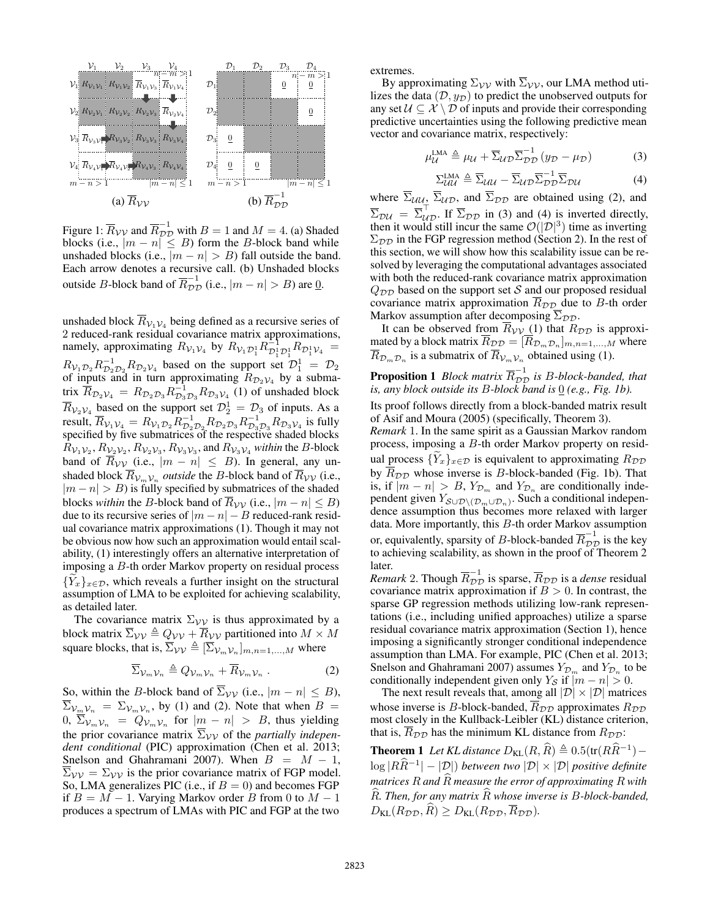

Figure 1:  $\overline{R}_{\mathcal{V}\mathcal{V}}$  and  $\overline{R}_{\mathcal{D}\mathcal{D}}^{-1}$  with  $B = 1$  and  $M = 4$ . (a) Shaded blocks (i.e.,  $|m - n| \leq B$ ) form the B-block band while unshaded blocks (i.e.,  $|m - n| > B$ ) fall outside the band. Each arrow denotes a recursive call. (b) Unshaded blocks outside *B*-block band of  $\overline{R}_{DD}^{-1}$  (i.e.,  $|m - n| > B$ ) are <u>0</u>.

unshaded block  $R_{V_1 V_4}$  being defined as a recursive series of 2 reduced-rank residual covariance matrix approximations, namely, approximating  $R_{\mathcal{V}_1 \mathcal{V}_4}$  by  $R_{\mathcal{V}_1 \mathcal{D}_1^1} R_{\mathcal{D}_1^1 \mathcal{D}_1^1} R_{\mathcal{D}_1^1 \mathcal{V}_4} =$  $R_{\mathcal{V}_1 \mathcal{D}_2} R_{\mathcal{D}_2 \mathcal{D}_2}^{-1} R_{\mathcal{D}_2 \mathcal{V}_4}$  based on the support set  $\mathcal{D}_1^1 = \mathcal{D}_2$ of inputs and in turn approximating  $R_{\mathcal{D}_2 \mathcal{V}_4}$  by a submatrix  $\overline{R}_{\mathcal{D}_2\mathcal{V}_4} = R_{\mathcal{D}_2\mathcal{D}_3} R_{\mathcal{D}_3\mathcal{D}_3} R_{\mathcal{D}_3\mathcal{V}_4}$  (1) of unshaded block  $\overline{R}_{v_2v_4}$  based on the support set  $\mathcal{D}_2^1 = \mathcal{D}_3$  of inputs. As a result,  $\overline{R}_{\mathcal{V}_1 \mathcal{V}_4} = R_{\mathcal{V}_1 \mathcal{D}_2} R_{\mathcal{D}_2 \mathcal{D}_3}^{-1} R_{\mathcal{D}_2 \mathcal{D}_3} R_{\mathcal{D}_3 \mathcal{D}_3}^{-1} R_{\mathcal{D}_3 \mathcal{V}_4}$  is fully specified by five submatrices of the respective shaded blocks  $R_{\mathcal{V}_1 \mathcal{V}_2}$ ,  $R_{\mathcal{V}_2 \mathcal{V}_3}$ ,  $R_{\mathcal{V}_3 \mathcal{V}_3}$ , and  $R_{\mathcal{V}_3 \mathcal{V}_4}$  *within* the *B*-block band of  $\overline{R}_{\mathcal{V}\mathcal{V}}$  (i.e.,  $|m - n| \leq B$ ). In general, any unshaded block  $\overline{R}_{v_m v_n}$  *outside* the *B*-block band of  $\overline{R}_{\mathcal{V}\mathcal{V}}$  (i.e.,  $|m - n| > B$ ) is fully specified by submatrices of the shaded blocks *within* the B-block band of  $\overline{R}_{\mathcal{V}\mathcal{V}}$  (i.e.,  $|m - n| \leq B$ ) due to its recursive series of  $|m - n| - B$  reduced-rank residual covariance matrix approximations (1). Though it may not be obvious now how such an approximation would entail scalability, (1) interestingly offers an alternative interpretation of imposing a B-th order Markov property on residual process  ${Y_x}_{x \in \mathcal{D}}$ , which reveals a further insight on the structural assumption of LMA to be exploited for achieving scalability, as detailed later.

The covariance matrix  $\Sigma_{\mathcal{V}\mathcal{V}}$  is thus approximated by a block matrix  $\overline{\Sigma}_{\mathcal{V}\mathcal{V}} \triangleq Q_{\mathcal{V}\mathcal{V}} + \overline{R}_{\mathcal{V}\mathcal{V}}$  partitioned into  $M \times M$ square blocks, that is,  $\overline{\Sigma}_{\mathcal{V}\mathcal{V}} \triangleq [\overline{\Sigma}_{\mathcal{V}_m\mathcal{V}_n}]_{m,n=1,\dots,M}$  where

$$
\overline{\Sigma}_{\mathcal{V}_m \mathcal{V}_n} \triangleq Q_{\mathcal{V}_m \mathcal{V}_n} + \overline{R}_{\mathcal{V}_m \mathcal{V}_n} . \tag{2}
$$

So, within the B-block band of  $\overline{\Sigma}_{\mathcal{V}\mathcal{V}}$  (i.e.,  $|m - n| \leq B$ ),  $\Sigma_{\mathcal{V}_{m},\mathcal{V}_{n}} = \Sigma_{\mathcal{V}_{m},\mathcal{V}_{n}}$ , by (1) and (2). Note that when  $B =$  $0, \ \Sigma_{\mathcal{V}_m \mathcal{V}_n} = Q_{\mathcal{V}_m \mathcal{V}_n}$  for  $|\underline{m} - n| > B$ , thus yielding the prior covariance matrix  $\Sigma_{\mathcal{V}\mathcal{V}}$  of the *partially independent conditional* (PIC) approximation (Chen et al. 2013; Snelson and Ghahramani 2007). When  $B = M - 1$ ,  $\overline{\Sigma}_{\mathcal{V}\mathcal{V}} = \Sigma_{\mathcal{V}\mathcal{V}}$  is the prior covariance matrix of FGP model. So, LMA generalizes PIC (i.e., if  $B = 0$ ) and becomes FGP if  $B = M - 1$ . Varying Markov order B from 0 to  $M - 1$ produces a spectrum of LMAs with PIC and FGP at the two

extremes.

By approximating  $\Sigma_{\mathcal{V}\mathcal{V}}$  with  $\overline{\Sigma}_{\mathcal{V}\mathcal{V}}$ , our LMA method utilizes the data  $(D, y_D)$  to predict the unobserved outputs for any set  $U \subseteq \mathcal{X} \setminus \mathcal{D}$  of inputs and provide their corresponding predictive uncertainties using the following predictive mean vector and covariance matrix, respectively:

$$
\mu_{\mathcal{U}}^{\text{LMA}} \triangleq \mu_{\mathcal{U}} + \overline{\Sigma}_{\mathcal{U}\mathcal{D}} \overline{\Sigma}_{\mathcal{D}\mathcal{D}}^{-1} (y_{\mathcal{D}} - \mu_{\mathcal{D}})
$$
(3)

$$
\Sigma_{\mathcal{UU}}^{\text{LMA}} \triangleq \overline{\Sigma}_{\mathcal{UU}} - \overline{\Sigma}_{\mathcal{UD}} \overline{\Sigma}_{\mathcal{DD}}^{-1} \overline{\Sigma}_{\mathcal{DU}} \tag{4}
$$

where  $\overline{\Sigma}_{UU}$ ,  $\overline{\Sigma}_{UD}$ , and  $\overline{\Sigma}_{DD}$  are obtained using (2), and  $\overline{\Sigma}_{\mathcal{D}\mathcal{U}} = \overline{\Sigma}_{\mathcal{U}\mathcal{D}}^{\perp}$ . If  $\overline{\Sigma}_{\mathcal{D}\mathcal{D}}$  in (3) and (4) is inverted directly, then it would still incur the same  $\mathcal{O}(|\mathcal{D}|^3)$  time as inverting  $\Sigma_{DD}$  in the FGP regression method (Section 2). In the rest of this section, we will show how this scalability issue can be resolved by leveraging the computational advantages associated with both the reduced-rank covariance matrix approximation  $Q_{\mathcal{D}\mathcal{D}}$  based on the support set S and our proposed residual covariance matrix approximation  $R_{\mathcal{DD}}$  due to B-th order Markov assumption after decomposing  $\overline{\Sigma}_{\mathcal{DD}}$ .

It can be observed from  $R_{\mathcal{V}\mathcal{V}}(1)$  that  $R_{\mathcal{D}\mathcal{D}}$  is approximated by a block matrix  $R_{\mathcal{D}\mathcal{D}} = [R_{\mathcal{D}_m \mathcal{D}_n}]_{m,n=1,\dots,M}$  where  $R_{\mathcal{D}_m \mathcal{D}_n}$  is a submatrix of  $R_{\mathcal{V}_m \mathcal{V}_n}$  obtained using (1).

# **Proposition 1** *Block matrix*  $\overline{R}_{DD}^{-1}$  *is B-block-banded, that is, any block outside its* B*-block band is* 0 *(e.g., Fig. 1b).*

Its proof follows directly from a block-banded matrix result of Asif and Moura (2005) (specifically, Theorem 3).

*Remark* 1. In the same spirit as a Gaussian Markov random process, imposing a B-th order Markov property on residual process  $\{Y_x\}_{x \in \mathcal{D}}$  is equivalent to approximating  $R_{\mathcal{D}\mathcal{D}}$ by  $\overline{R}_{\mathcal{DD}}$  whose inverse is B-block-banded (Fig. 1b). That is, if  $|m - n| > B$ ,  $Y_{\mathcal{D}_m}$  and  $Y_{\mathcal{D}_n}$  are conditionally independent given  $Y_{\mathcal{S}\cup\mathcal{D}\setminus(\mathcal{D}_m\cup\mathcal{D}_n)}$ . Such a conditional independence assumption thus becomes more relaxed with larger data. More importantly, this B-th order Markov assumption or, equivalently, sparsity of *B*-block-banded  $\overline{R}_{\mathcal{D}\mathcal{D}}^{-1}$  is the key to achieving scalability, as shown in the proof of Theorem 2 later.

*Remark* 2. Though  $\overline{R}_{\mathcal{D}\mathcal{D}}^{-1}$  is sparse,  $\overline{R}_{\mathcal{D}\mathcal{D}}$  is a *dense* residual covariance matrix approximation if  $B > 0$ . In contrast, the sparse GP regression methods utilizing low-rank representations (i.e., including unified approaches) utilize a sparse residual covariance matrix approximation (Section 1), hence imposing a significantly stronger conditional independence assumption than LMA. For example, PIC (Chen et al. 2013; Snelson and Ghahramani 2007) assumes  $Y_{\mathcal{D}_m}$  and  $Y_{\mathcal{D}_n}$  to be conditionally independent given only  $Y_{\mathcal{S}}$  if  $|m - n| > 0$ .

The next result reveals that, among all  $|\mathcal{D}| \times |\mathcal{D}|$  matrices whose inverse is B-block-banded,  $R_{\mathcal{DD}}$  approximates  $R_{\mathcal{DD}}$ most closely in the Kullback-Leibler (KL) distance criterion, that is,  $\overline{R}_{\mathcal{D}\mathcal{D}}$  has the minimum KL distance from  $R_{\mathcal{D}\mathcal{D}}$ :

**Theorem 1** Let KL distance  $D_{\text{KL}}(R, \widehat{R}) \triangleq 0.5(\text{tr}(R\widehat{R}^{-1}) - \hat{R})$ log <sup>|</sup>RRb<sup>−</sup><sup>1</sup> | − |D|) *between two* |D| × |D| *positive definite matrices* <sup>R</sup> *and* <sup>R</sup><sup>b</sup> *measure the error of approximating* <sup>R</sup> *with* <sup>R</sup>b*. Then, for any matrix* <sup>R</sup><sup>b</sup> *whose inverse is* <sup>B</sup>*-block-banded,*  $D_{\text{KL}}(R_{\mathcal{DD}}, \widehat{R}) \geq D_{\text{KL}}(R_{\mathcal{DD}}, \overline{R}_{\mathcal{DD}}).$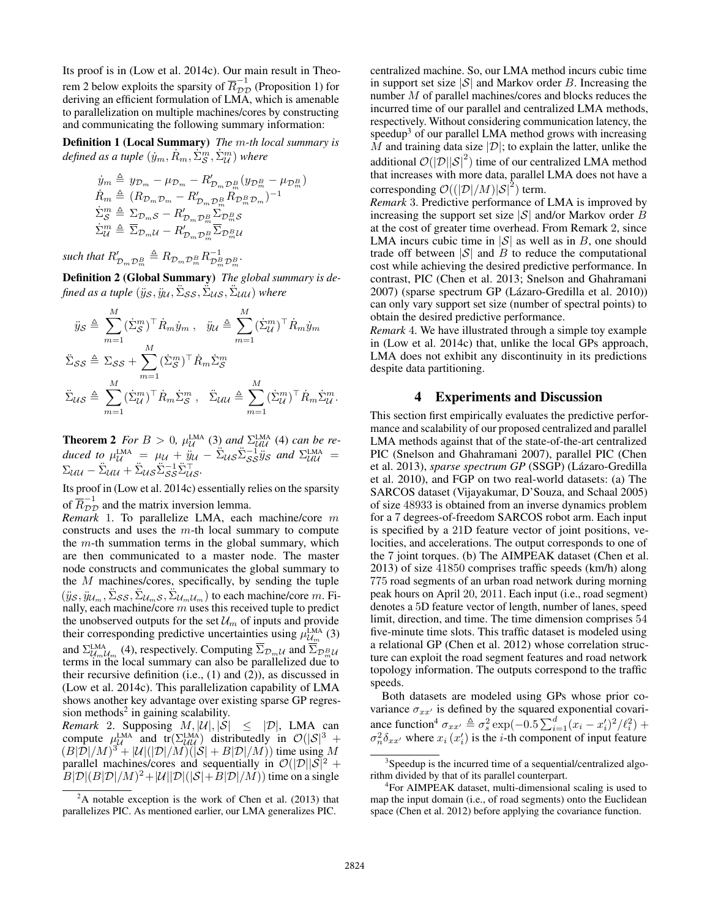Its proof is in (Low et al. 2014c). Our main result in Theorem 2 below exploits the sparsity of  $\overline{R}_{DD}^{-1}$  (Proposition 1) for deriving an efficient formulation of LMA, which is amenable to parallelization on multiple machines/cores by constructing and communicating the following summary information:

Definition 1 (Local Summary) *The* m*-th local summary is*  $\hat{d}$ *efined as a tuple*  $(\dot{y}_m, \dot{R}_m, \dot{\Sigma}_\mathcal{S}^m, \dot{\Sigma}_\mathcal{U}^m)$  where

$$
\dot{y}_m \triangleq y_{\mathcal{D}_m} - \mu_{\mathcal{D}_m} - R'_{\mathcal{D}_m \mathcal{D}_m^B} (y_{\mathcal{D}_m^B} - \mu_{\mathcal{D}_m^B})
$$
\n
$$
\dot{R}_m \triangleq (R_{\mathcal{D}_m \mathcal{D}_m} - R'_{\mathcal{D}_m \mathcal{D}_m^B} R_{\mathcal{D}_m^B \mathcal{D}_m})^{-1}
$$
\n
$$
\dot{\Sigma}_S^m \triangleq \Sigma_{\mathcal{D}_m S} - R'_{\mathcal{D}_m \mathcal{D}_m^B} \Sigma_{\mathcal{D}_m^B S}
$$
\n
$$
\dot{\Sigma}_U^m \triangleq \overline{\Sigma}_{\mathcal{D}_m U} - R'_{\mathcal{D}_m \mathcal{D}_m^B} \overline{\Sigma}_{\mathcal{D}_m^B U}
$$

such that  $R'_{\mathcal{D}_m \mathcal{D}_m^B} \triangleq R_{\mathcal{D}_m \mathcal{D}_m^B} R_{\mathcal{D}_m^B \mathcal{D}_m^B}^{-1}$ .

Definition 2 (Global Summary) *The global summary is de*fined as a tuple  $(\ddot{y}_{\mathcal{S}}, \ddot{y}_{\mathcal{U}}, \ddot{\Sigma}_{\mathcal{S}\mathcal{S}}, \ddot{\Sigma}_{\mathcal{U}\mathcal{S}}, \ddot{\Sigma}_{\mathcal{U}\mathcal{U}})$  where

$$
\ddot{y}_{\mathcal{S}} \triangleq \sum_{m=1}^{M} (\dot{\Sigma}_{\mathcal{S}}^{m})^{\top} \dot{R}_{m} \dot{y}_{m}, \quad \ddot{y}_{\mathcal{U}} \triangleq \sum_{m=1}^{M} (\dot{\Sigma}_{\mathcal{U}}^{m})^{\top} \dot{R}_{m} \dot{y}_{m}
$$

$$
\ddot{\Sigma}_{\mathcal{S}\mathcal{S}} \triangleq \Sigma_{\mathcal{S}\mathcal{S}} + \sum_{m=1}^{M} (\dot{\Sigma}_{\mathcal{S}}^{m})^{\top} \dot{R}_{m} \dot{\Sigma}_{\mathcal{S}}^{m}
$$

$$
\ddot{\Sigma}_{\mathcal{U}\mathcal{S}} \triangleq \sum_{m=1}^{M} (\dot{\Sigma}_{\mathcal{U}}^{m})^{\top} \dot{R}_{m} \dot{\Sigma}_{\mathcal{S}}^{m}, \quad \ddot{\Sigma}_{\mathcal{U}\mathcal{U}} \triangleq \sum_{m=1}^{M} (\dot{\Sigma}_{\mathcal{U}}^{m})^{\top} \dot{R}_{m} \dot{\Sigma}_{\mathcal{U}}^{m}.
$$

**Theorem 2** *For*  $B > 0$ ,  $\mu_{\mathcal{U}}^{\text{LMA}}$  (3) and  $\Sigma_{\mathcal{U}}^{\text{LMA}}$  (4) can be re*duced to*  $\mu_{\mathcal{U}}^{\text{LMA}} = \mu_{\mathcal{U}} + \ddot{y}_{\mathcal{U}} - \ddot{\Sigma}_{\mathcal{U}} \ddot{\Sigma}_{\mathcal{S}S}^{-1} \ddot{y}_{\mathcal{S}}$  and  $\Sigma_{\mathcal{UU}}^{\text{LMA}} =$  $\Sigma_{\mathcal{U}\mathcal{U}} - \ddot{\Sigma}_{\mathcal{U}\mathcal{U}} + \ddot{\Sigma}_{\mathcal{U}\mathcal{S}} \ddot{\Sigma}_{\mathcal{S}\mathcal{S}}^{-1} \ddot{\Sigma}_{\mathcal{U}\mathcal{S}}^{\top}$ 

Its proof in (Low et al. 2014c) essentially relies on the sparsity of  $\overline{R}_{\mathcal{D}\mathcal{D}}^{-1}$  and the matrix inversion lemma.

*Remark* 1. To parallelize LMA, each machine/core m constructs and uses the  $m$ -th local summary to compute the  $m$ -th summation terms in the global summary, which are then communicated to a master node. The master node constructs and communicates the global summary to the M machines/cores, specifically, by sending the tuple  $(\ddot{y}_S, \ddot{y}_{\mathcal{U}_m}, \ddot{\Sigma}_{\mathcal{S}\mathcal{S}}, \ddot{\Sigma}_{\mathcal{U}_m\mathcal{S}}, \ddot{\Sigma}_{\mathcal{U}_m\mathcal{U}_m})$  to each machine/core m. Finally, each machine/core  $m$  uses this received tuple to predict the unobserved outputs for the set  $\mathcal{U}_m$  of inputs and provide their corresponding predictive uncertainties using  $\mu_{\mathcal{U}_m}^{\text{LMA}}$  (3) and  $\Sigma_{\mathcal{U}_m \mathcal{U}_m}^{\text{LMA}}$  (4), respectively. Computing  $\Sigma_{\mathcal{D}_m \mathcal{U}}$  and  $\Sigma_{\mathcal{D}_m \mathcal{U}}$ terms in the local summary can also be parallelized due to their recursive definition (i.e., (1) and (2)), as discussed in (Low et al. 2014c). This parallelization capability of LMA shows another key advantage over existing sparse GP regression methods<sup>2</sup> in gaining scalability.

*Remark* 2. Supposing  $M$ ,  $|\mathcal{U}|$ ,  $|\mathcal{S}| \leq |\mathcal{D}|$ , LMA can compute  $\mu_{\text{LMA}}^{\text{LMA}}$  and  $\text{tr}(\Sigma_{UU}^{\text{LMA}})$  distributedly in  $\mathcal{O}(|\mathcal{S}|^3 +$  $(B|\overline{\mathcal{D}}|/M)^3 + |\mathcal{U}|(|\mathcal{D}|/M)(|S| + B|\mathcal{D}|/M))$  time using M parallel machines/cores and sequentially in  $\mathcal{O}(|\mathcal{D}||\mathcal{S}|^2 +$  $B|\mathcal{D}|(B|\mathcal{D}|/M)^2 + |\mathcal{U}||\mathcal{D}|(|\mathcal{S}| + B|\mathcal{D}|/M))$  time on a single

centralized machine. So, our LMA method incurs cubic time in support set size  $|S|$  and Markov order B. Increasing the number  $M$  of parallel machines/cores and blocks reduces the incurred time of our parallel and centralized LMA methods, respectively. Without considering communication latency, the speedup<sup>3</sup> of our parallel LMA method grows with increasing M and training data size  $|\mathcal{D}|$ ; to explain the latter, unlike the additional  $\mathcal{O}(|\mathcal{D}||\mathcal{S}|^2)$  time of our centralized LMA method that increases with more data, parallel LMA does not have a corresponding  $\mathcal{O}((|\mathcal{D}|/M)|\mathcal{S}|^2)$  term.

*Remark* 3. Predictive performance of LMA is improved by increasing the support set size  $|S|$  and/or Markov order B at the cost of greater time overhead. From Remark 2, since LMA incurs cubic time in  $|S|$  as well as in B, one should trade off between  $|S|$  and B to reduce the computational cost while achieving the desired predictive performance. In contrast, PIC (Chen et al. 2013; Snelson and Ghahramani 2007) (sparse spectrum GP (Lázaro-Gredilla et al. 2010)) can only vary support set size (number of spectral points) to obtain the desired predictive performance.

*Remark* 4. We have illustrated through a simple toy example in (Low et al. 2014c) that, unlike the local GPs approach, LMA does not exhibit any discontinuity in its predictions despite data partitioning.

## 4 Experiments and Discussion

This section first empirically evaluates the predictive performance and scalability of our proposed centralized and parallel LMA methods against that of the state-of-the-art centralized PIC (Snelson and Ghahramani 2007), parallel PIC (Chen et al. 2013), *sparse spectrum GP* (SSGP) (Lázaro-Gredilla et al. 2010), and FGP on two real-world datasets: (a) The SARCOS dataset (Vijayakumar, D'Souza, and Schaal 2005) of size 48933 is obtained from an inverse dynamics problem for a 7 degrees-of-freedom SARCOS robot arm. Each input is specified by a 21D feature vector of joint positions, velocities, and accelerations. The output corresponds to one of the 7 joint torques. (b) The AIMPEAK dataset (Chen et al. 2013) of size 41850 comprises traffic speeds (km/h) along 775 road segments of an urban road network during morning peak hours on April 20, 2011. Each input (i.e., road segment) denotes a 5D feature vector of length, number of lanes, speed limit, direction, and time. The time dimension comprises 54 five-minute time slots. This traffic dataset is modeled using a relational GP (Chen et al. 2012) whose correlation structure can exploit the road segment features and road network topology information. The outputs correspond to the traffic speeds.

Both datasets are modeled using GPs whose prior covariance  $\sigma_{xx'}$  is defined by the squared exponential covariance function<sup>4</sup>  $\sigma_{xx'} \triangleq \sigma_s^2 \exp(-0.5 \sum_{i=1}^d (x_i - x'_i)^2 / l_i^2) +$  $\sigma_n^2 \delta_{xx'}$  where  $x_i(x'_i)$  is the *i*-th component of input feature

 $2A$  notable exception is the work of Chen et al. (2013) that parallelizes PIC. As mentioned earlier, our LMA generalizes PIC.

<sup>&</sup>lt;sup>3</sup>Speedup is the incurred time of a sequential/centralized algorithm divided by that of its parallel counterpart.

<sup>4</sup> For AIMPEAK dataset, multi-dimensional scaling is used to map the input domain (i.e., of road segments) onto the Euclidean space (Chen et al. 2012) before applying the covariance function.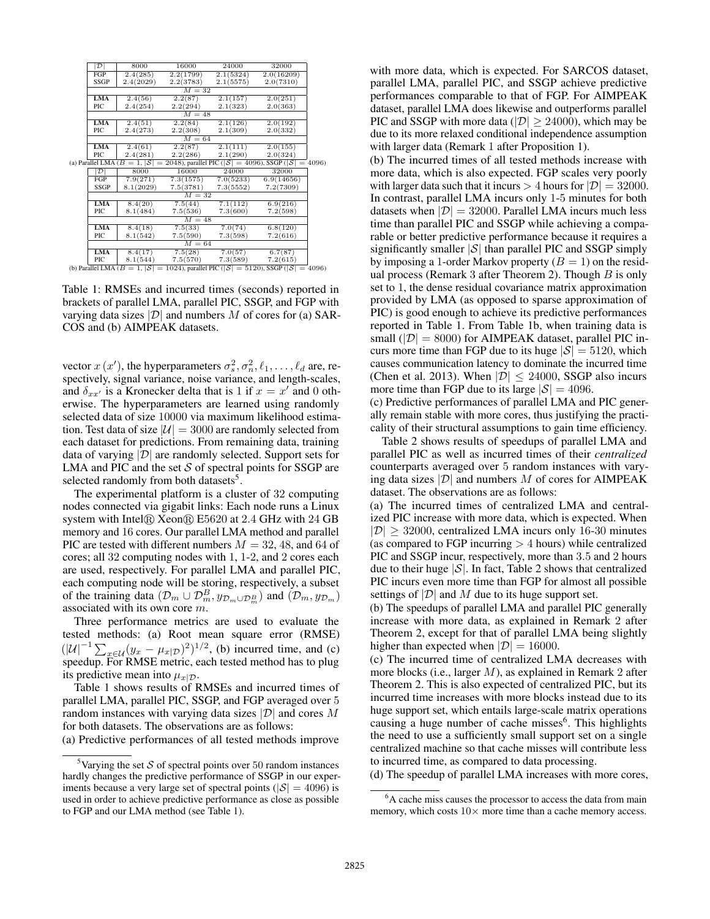|                                                                                                   | $\mathcal{D}$ | 8000      | 16000     | 24000     | 32000      |  |  |  |  |
|---------------------------------------------------------------------------------------------------|---------------|-----------|-----------|-----------|------------|--|--|--|--|
|                                                                                                   | FGP           | 2.4(285)  | 2.2(1799) | 2.1(5324) | 2.0(16209) |  |  |  |  |
|                                                                                                   | SSGP          | 2.4(2029) | 2.2(3783) | 2.1(5575) | 2.0(7310)  |  |  |  |  |
|                                                                                                   |               | $M = 32$  |           |           |            |  |  |  |  |
|                                                                                                   | <b>LMA</b>    | 2.4(56)   | 2.2(87)   | 2.1(157)  | 2.0(251)   |  |  |  |  |
|                                                                                                   | PIC.          | 2.4(254)  | 2.2(294)  | 2.1(323)  | 2.0(363)   |  |  |  |  |
|                                                                                                   |               | $M = 48$  |           |           |            |  |  |  |  |
|                                                                                                   | <b>LMA</b>    | 2.4(51)   | 2.2(84)   | 2.1(126)  | 2.0(192)   |  |  |  |  |
|                                                                                                   | PIC           | 2.4(273)  | 2.2(308)  | 2.1(309)  | 2.0(332)   |  |  |  |  |
|                                                                                                   |               | $M = 64$  |           |           |            |  |  |  |  |
|                                                                                                   | <b>LMA</b>    | 2.4(61)   | 2.2(87)   | 2.1(111)  | 2.0(155)   |  |  |  |  |
|                                                                                                   | PIC.          | 2.4(281)  | 2.2(286)  | 2.1(290)  | 2.0(324)   |  |  |  |  |
| (a) Parallel LMA ( $B = 1$ , $ S  = 2048$ ), parallel PIC ( $ S  = 4096$ ), SSGP ( $ S  = 4096$ ) |               |           |           |           |            |  |  |  |  |
|                                                                                                   | $\mathcal{D}$ | 8000      | 16000     | 24000     | 32000      |  |  |  |  |
|                                                                                                   | FGP           | 7.9(271)  | 7.3(1575) | 7.0(5233) | 6.9(14656) |  |  |  |  |
|                                                                                                   | SSGP          | 8.1(2029) | 7.5(3781) | 7.3(5552) | 7.2(7309)  |  |  |  |  |
|                                                                                                   |               | $M = 32$  |           |           |            |  |  |  |  |
|                                                                                                   | <b>LMA</b>    | 8.4(20)   | 7.5(44)   | 7.1(112)  | 6.9(216)   |  |  |  |  |
|                                                                                                   | PIC           | 8.1(484)  | 7.5(536)  | 7.3(600)  | 7.2(598)   |  |  |  |  |
|                                                                                                   | $M = 48$      |           |           |           |            |  |  |  |  |
|                                                                                                   | <b>LMA</b>    | 8.4(18)   | 7.5(33)   | 7.0(74)   | 6.8(120)   |  |  |  |  |
|                                                                                                   | PIC           | 8.1(542)  | 7.5(590)  | 7.3(598)  | 7.2(616)   |  |  |  |  |
|                                                                                                   |               | $M = 64$  |           |           |            |  |  |  |  |
|                                                                                                   | <b>LMA</b>    | 8.4(17)   | 7.5(28)   | 7.0(57)   | 6.7(87)    |  |  |  |  |
|                                                                                                   | PIC           | 8.1(544)  | 7.5(570)  | 7.3(589)  | 7.2(615)   |  |  |  |  |

 $\text{PrC}$  8.1(544) 7.5(570) 7.3(589) 7.2(615)<br>
(b) Parallel LMA ( $B = 1, |\mathcal{S}| = 1024$ ), parallel PIC ( $|\mathcal{S}| = 5120$ ), SSGP ( $|\mathcal{S}| = 4096$ )

Table 1: RMSEs and incurred times (seconds) reported in brackets of parallel LMA, parallel PIC, SSGP, and FGP with varying data sizes  $|\mathcal{D}|$  and numbers M of cores for (a) SAR-COS and (b) AIMPEAK datasets.

vector  $x(x')$ , the hyperparameters  $\sigma_s^2, \sigma_n^2, \ell_1, \ldots, \ell_d$  are, respectively, signal variance, noise variance, and length-scales, and  $\delta_{xx'}$  is a Kronecker delta that is 1 if  $x = x'$  and 0 otherwise. The hyperparameters are learned using randomly selected data of size 10000 via maximum likelihood estimation. Test data of size  $|\mathcal{U}| = 3000$  are randomly selected from each dataset for predictions. From remaining data, training data of varying  $|\mathcal{D}|$  are randomly selected. Support sets for LMA and PIC and the set  $S$  of spectral points for SSGP are selected randomly from both datasets<sup>5</sup>.

The experimental platform is a cluster of 32 computing nodes connected via gigabit links: Each node runs a Linux system with Intel $\Omega$  Xeon $\Omega$  E5620 at 2.4 GHz with 24 GB memory and 16 cores. Our parallel LMA method and parallel PIC are tested with different numbers  $M = 32, 48,$  and 64 of cores; all 32 computing nodes with 1, 1-2, and 2 cores each are used, respectively. For parallel LMA and parallel PIC, each computing node will be storing, respectively, a subset of the training data  $(\mathcal{D}_m \cup \mathcal{D}_m^B, y_{\mathcal{D}_m \cup \mathcal{D}_m^B})$  and  $(\mathcal{D}_m, y_{\mathcal{D}_m})$ associated with its own core m.

Three performance metrics are used to evaluate the tested methods: (a) Root mean square error (RMSE)  $(|U|^{-1} \sum_{x \in U} (y_x - \mu_x | p)^2)^{1/2}$ , (b) incurred time, and (c) speedup. For RMSE metric, each tested method has to plug its predictive mean into  $\mu_{x|D}$ .

Table 1 shows results of RMSEs and incurred times of parallel LMA, parallel PIC, SSGP, and FGP averaged over 5 random instances with varying data sizes  $|\mathcal{D}|$  and cores M for both datasets. The observations are as follows:

(a) Predictive performances of all tested methods improve

with more data, which is expected. For SARCOS dataset, parallel LMA, parallel PIC, and SSGP achieve predictive performances comparable to that of FGP. For AIMPEAK dataset, parallel LMA does likewise and outperforms parallel PIC and SSGP with more data ( $|\mathcal{D}| \geq 24000$ ), which may be due to its more relaxed conditional independence assumption with larger data (Remark 1 after Proposition 1).

(b) The incurred times of all tested methods increase with more data, which is also expected. FGP scales very poorly with larger data such that it incurs  $> 4$  hours for  $|\mathcal{D}| = 32000$ . In contrast, parallel LMA incurs only 1-5 minutes for both datasets when  $|\mathcal{D}| = 32000$ . Parallel LMA incurs much less time than parallel PIC and SSGP while achieving a comparable or better predictive performance because it requires a significantly smaller  $|S|$  than parallel PIC and SSGP simply by imposing a 1-order Markov property  $(B = 1)$  on the residual process (Remark 3 after Theorem 2). Though  $B$  is only set to 1, the dense residual covariance matrix approximation provided by LMA (as opposed to sparse approximation of PIC) is good enough to achieve its predictive performances reported in Table 1. From Table 1b, when training data is small ( $|\mathcal{D}| = 8000$ ) for AIMPEAK dataset, parallel PIC incurs more time than FGP due to its huge  $|S| = 5120$ , which causes communication latency to dominate the incurred time (Chen et al. 2013). When  $|\mathcal{D}| \leq 24000$ , SSGP also incurs more time than FGP due to its large  $|S| = 4096$ .

(c) Predictive performances of parallel LMA and PIC generally remain stable with more cores, thus justifying the practicality of their structural assumptions to gain time efficiency.

Table 2 shows results of speedups of parallel LMA and parallel PIC as well as incurred times of their *centralized* counterparts averaged over 5 random instances with varying data sizes  $|\mathcal{D}|$  and numbers M of cores for AIMPEAK dataset. The observations are as follows:

(a) The incurred times of centralized LMA and centralized PIC increase with more data, which is expected. When  $|\mathcal{D}| \geq 32000$ , centralized LMA incurs only 16-30 minutes (as compared to FGP incurring  $> 4$  hours) while centralized PIC and SSGP incur, respectively, more than 3.5 and 2 hours due to their huge  $|S|$ . In fact, Table 2 shows that centralized PIC incurs even more time than FGP for almost all possible settings of  $|\mathcal{D}|$  and M due to its huge support set.

(b) The speedups of parallel LMA and parallel PIC generally increase with more data, as explained in Remark 2 after Theorem 2, except for that of parallel LMA being slightly higher than expected when  $|\mathcal{D}| = 16000$ .

(c) The incurred time of centralized LMA decreases with more blocks (i.e., larger M), as explained in Remark 2 after Theorem 2. This is also expected of centralized PIC, but its incurred time increases with more blocks instead due to its huge support set, which entails large-scale matrix operations causing a huge number of cache misses<sup>6</sup>. This highlights the need to use a sufficiently small support set on a single centralized machine so that cache misses will contribute less to incurred time, as compared to data processing.

(d) The speedup of parallel LMA increases with more cores,

<sup>&</sup>lt;sup>5</sup>Varying the set  $S$  of spectral points over 50 random instances hardly changes the predictive performance of SSGP in our experiments because a very large set of spectral points ( $|S| = 4096$ ) is used in order to achieve predictive performance as close as possible to FGP and our LMA method (see Table 1).

<sup>&</sup>lt;sup>6</sup>A cache miss causes the processor to access the data from main memory, which costs  $10 \times$  more time than a cache memory access.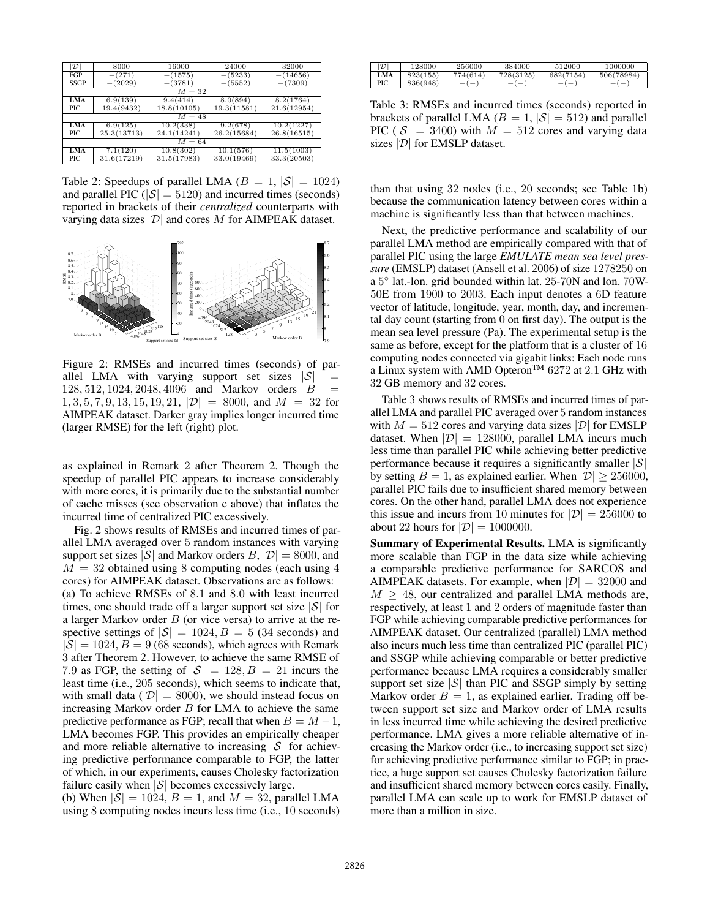| $ \mathcal{D} $ | 8000        | 16000       | 24000       | 32000       |  |  |  |
|-----------------|-------------|-------------|-------------|-------------|--|--|--|
| FGP             | $-(271)$    | $-(1575)$   | $-(5233)$   | $-(14656)$  |  |  |  |
| <b>SSGP</b>     | $-(2029)$   | $-(3781)$   | $-(5552)$   | $-(7309)$   |  |  |  |
| $M = 32$        |             |             |             |             |  |  |  |
| <b>LMA</b>      | 6.9(139)    | 9.4(414)    | 8.0(894)    | 8.2(1764)   |  |  |  |
| PIC             | 19.4(9432)  | 18.8(10105) | 19.3(11581) | 21.6(12954) |  |  |  |
| $M = 48$        |             |             |             |             |  |  |  |
| <b>LMA</b>      | 6.9(125)    | 10.2(338)   | 9.2(678)    | 10.2(1227)  |  |  |  |
| PIC             | 25.3(13713) | 24.1(14241) | 26.2(15684) | 26.8(16515) |  |  |  |
| $M=64$          |             |             |             |             |  |  |  |
| <b>LMA</b>      | 7.1(120)    | 10.8(302)   | 10.1(576)   | 11.5(1003)  |  |  |  |
| PIC             | 31.6(17219) | 31.5(17983) | 33.0(19469) | 33.3(20503) |  |  |  |

Table 2: Speedups of parallel LMA ( $B = 1$ ,  $|S| = 1024$ ) and parallel PIC ( $|\mathcal{S}| = 5120$ ) and incurred times (seconds) reported in brackets of their *centralized* counterparts with varying data sizes  $|\mathcal{D}|$  and cores M for AIMPEAK dataset.



Figure 2: RMSEs and incurred times (seconds) of parallel LMA with varying support set sizes  $|S|$ 128, 512, 1024, 2048, 4096 and Markov orders B =  $1, 3, 5, 7, 9, 13, 15, 19, 21, |\mathcal{D}| = 8000$ , and  $M = 32$  for AIMPEAK dataset. Darker gray implies longer incurred time (larger RMSE) for the left (right) plot.

as explained in Remark 2 after Theorem 2. Though the speedup of parallel PIC appears to increase considerably with more cores, it is primarily due to the substantial number of cache misses (see observation c above) that inflates the incurred time of centralized PIC excessively.

Fig. 2 shows results of RMSEs and incurred times of parallel LMA averaged over 5 random instances with varying support set sizes  $|S|$  and Markov orders  $B$ ,  $|D| = 8000$ , and  $M = 32$  obtained using 8 computing nodes (each using 4 cores) for AIMPEAK dataset. Observations are as follows: (a) To achieve RMSEs of 8.1 and 8.0 with least incurred times, one should trade off a larger support set size  $|\mathcal{S}|$  for a larger Markov order  $B$  (or vice versa) to arrive at the respective settings of  $|S| = 1024, B = 5$  (34 seconds) and  $|\mathcal{S}| = 1024, B = 9$  (68 seconds), which agrees with Remark 3 after Theorem 2. However, to achieve the same RMSE of 7.9 as FGP, the setting of  $|S| = 128$ ,  $B = 21$  incurs the least time (i.e., 205 seconds), which seems to indicate that, with small data ( $|\mathcal{D}| = 8000$ ), we should instead focus on increasing Markov order  $B$  for LMA to achieve the same predictive performance as FGP; recall that when  $B = M - 1$ , LMA becomes FGP. This provides an empirically cheaper and more reliable alternative to increasing  $|S|$  for achieving predictive performance comparable to FGP, the latter of which, in our experiments, causes Cholesky factorization failure easily when  $|S|$  becomes excessively large.

(b) When  $|S| = 1024$ ,  $B = 1$ , and  $M = 32$ , parallel LMA using 8 computing nodes incurs less time (i.e., 10 seconds)

| $ \mathcal{D} $ | 128000   | 256000   | 384000    | 512000    | 1000000    |
|-----------------|----------|----------|-----------|-----------|------------|
| <b>LMA</b>      | 823(155) | 774(614) | 728(3125) | 682(7154) | 506(78984) |
| PIC             | 836(948) | $-(-)$   | $-(-)$    | $-(-$     | $-(-)$     |

Table 3: RMSEs and incurred times (seconds) reported in brackets of parallel LMA ( $B = 1$ ,  $|S| = 512$ ) and parallel PIC ( $|\mathcal{S}| = 3400$ ) with  $M = 512$  cores and varying data sizes  $|\mathcal{D}|$  for EMSLP dataset.

than that using 32 nodes (i.e., 20 seconds; see Table 1b) because the communication latency between cores within a machine is significantly less than that between machines.

Next, the predictive performance and scalability of our parallel LMA method are empirically compared with that of parallel PIC using the large *EMULATE mean sea level pressure* (EMSLP) dataset (Ansell et al. 2006) of size 1278250 on a 5 ◦ lat.-lon. grid bounded within lat. 25-70N and lon. 70W-50E from 1900 to 2003. Each input denotes a 6D feature vector of latitude, longitude, year, month, day, and incremental day count (starting from 0 on first day). The output is the mean sea level pressure (Pa). The experimental setup is the same as before, except for the platform that is a cluster of 16 computing nodes connected via gigabit links: Each node runs a Linux system with AMD Opteron<sup>TM</sup> 6272 at 2.1 GHz with 32 GB memory and 32 cores.

Table 3 shows results of RMSEs and incurred times of parallel LMA and parallel PIC averaged over 5 random instances with  $M = 512$  cores and varying data sizes  $|\mathcal{D}|$  for EMSLP dataset. When  $|\mathcal{D}| = 128000$ , parallel LMA incurs much less time than parallel PIC while achieving better predictive performance because it requires a significantly smaller  $|\mathcal{S}|$ by setting  $B = 1$ , as explained earlier. When  $|\mathcal{D}| \geq 256000$ , parallel PIC fails due to insufficient shared memory between cores. On the other hand, parallel LMA does not experience this issue and incurs from 10 minutes for  $|\mathcal{D}| = 256000$  to about 22 hours for  $|\mathcal{D}| = 1000000$ .

Summary of Experimental Results. LMA is significantly more scalable than FGP in the data size while achieving a comparable predictive performance for SARCOS and AIMPEAK datasets. For example, when  $|\mathcal{D}| = 32000$  and  $M \geq 48$ , our centralized and parallel LMA methods are, respectively, at least 1 and 2 orders of magnitude faster than FGP while achieving comparable predictive performances for AIMPEAK dataset. Our centralized (parallel) LMA method also incurs much less time than centralized PIC (parallel PIC) and SSGP while achieving comparable or better predictive performance because LMA requires a considerably smaller support set size  $|S|$  than PIC and SSGP simply by setting Markov order  $B = 1$ , as explained earlier. Trading off between support set size and Markov order of LMA results in less incurred time while achieving the desired predictive performance. LMA gives a more reliable alternative of increasing the Markov order (i.e., to increasing support set size) for achieving predictive performance similar to FGP; in practice, a huge support set causes Cholesky factorization failure and insufficient shared memory between cores easily. Finally, parallel LMA can scale up to work for EMSLP dataset of more than a million in size.